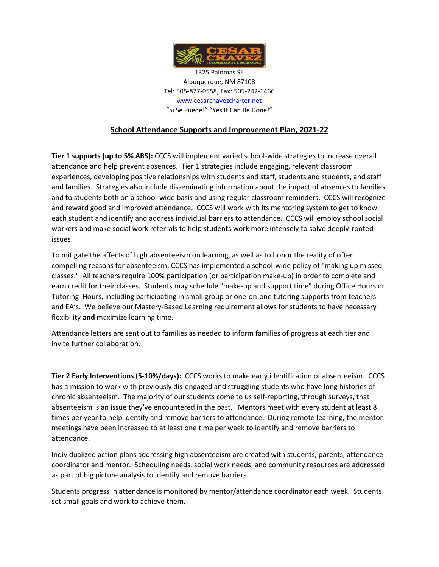

1325 Palomas SE Albuquerque, NM 87108 Tel: 505-877-0558; Fax: 505-242-1466 [www.cesarchavezcharter.net](http://www.cesarchavezcharter.net/) "Si Se Puede!" "Yes It Can Be Done!"

## **School Attendance Supports and Improvement Plan, 2021-22**

**Tier 1 supports (up to 5% ABS):** CCCS will implement varied school-wide strategies to increase overall attendance and help prevent absences. Tier 1 strategies include engaging, relevant classroom experiences, developing positive relationships with students and staff, students and students, and staff and families. Strategies also include disseminating information about the impact of absences to families and to students both on a school-wide basis and using regular classroom reminders. CCCS will recognize and reward good and improved attendance. CCCS will work with its mentoring system to get to know each student and identify and address individual barriers to attendance. CCCS will employ school social workers and make social work referrals to help students work more intensely to solve deeply-rooted issues.

To mitigate the affects of high absenteeism on learning, as well as to honor the reality of often compelling reasons for absenteeism, CCCS has implemented a school-wide policy of "making up missed classes." All teachers require 100% participation (or participation make-up) in order to complete and earn credit for their classes. Students may schedule "make-up and support time" during Office Hours or Tutoring Hours, including participating in small group or one-on-one tutoring supports from teachers and EA's. We believe our Mastery-Based Learning requirement allows for students to have necessary flexibility **and** maximize learning time.

Attendance letters are sent out to families as needed to inform families of progress at each tier and invite further collaboration.

**Tier 2 Early Interventions (5-10%/days):** CCCS works to make early identification of absenteeism. CCCS has a mission to work with previously dis-engaged and struggling students who have long histories of chronic absenteeism. The majority of our students come to us self-reporting, through surveys, that absenteeism is an issue they've encountered in the past. Mentors meet with every student at least 8 times per year to help identify and remove barriers to attendance. During remote learning, the mentor meetings have been increased to at least one time per week to identify and remove barriers to attendance.

Individualized action plans addressing high absenteeism are created with students, parents, attendance coordinator and mentor. Scheduling needs, social work needs, and community resources are addressed as part of big picture analysis to identify and remove barriers.

Students progress in attendance is monitored by mentor/attendance coordinator each week. Students set small goals and work to achieve them.